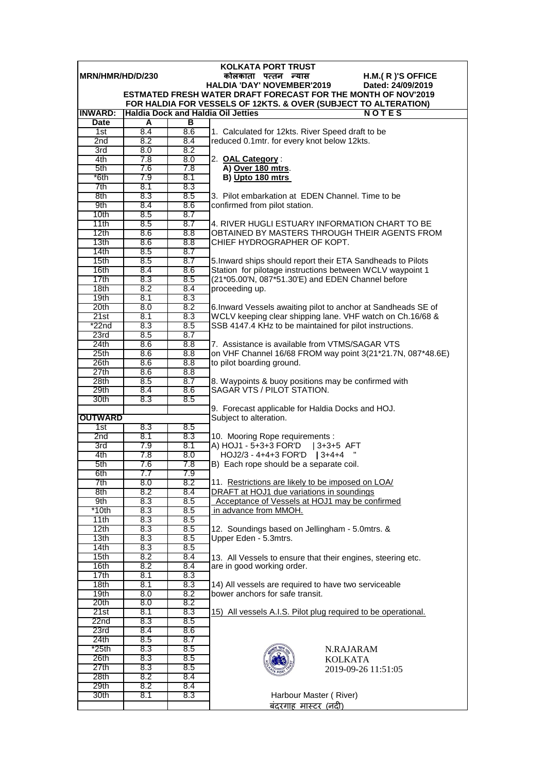| <b>KOLKATA PORT TRUST</b>                                                                                             |            |            |                                                                                                                            |  |  |  |  |
|-----------------------------------------------------------------------------------------------------------------------|------------|------------|----------------------------------------------------------------------------------------------------------------------------|--|--|--|--|
| MRN/HMR/HD/D/230<br>कोलकाता पत्तन न्यास<br>H.M.(R)'S OFFICE<br><b>HALDIA 'DAY' NOVEMBER'2019</b><br>Dated: 24/09/2019 |            |            |                                                                                                                            |  |  |  |  |
|                                                                                                                       |            |            | ESTMATED FRESH WATER DRAFT FORECAST FOR THE MONTH OF NOV'2019                                                              |  |  |  |  |
|                                                                                                                       |            |            | FOR HALDIA FOR VESSELS OF 12KTS. & OVER (SUBJECT TO ALTERATION)                                                            |  |  |  |  |
| <b>INWARD:</b>                                                                                                        |            |            | <b>Haldia Dock and Haldia Oil Jetties</b><br><b>NOTES</b>                                                                  |  |  |  |  |
| <b>Date</b>                                                                                                           | A          | в          |                                                                                                                            |  |  |  |  |
| 1st                                                                                                                   | 8.4        | 8.6        | 1. Calculated for 12kts. River Speed draft to be                                                                           |  |  |  |  |
| 2 <sub>nd</sub>                                                                                                       | 8.2        | 8.4        | reduced 0.1mtr. for every knot below 12kts.                                                                                |  |  |  |  |
| 3rd<br>4th                                                                                                            | 8.0<br>7.8 | 8.2<br>8.0 | 2. OAL Category:                                                                                                           |  |  |  |  |
| 5th                                                                                                                   | 7.6        | 7.8        | A) Over 180 mtrs.                                                                                                          |  |  |  |  |
| *6th                                                                                                                  | 7.9        | 8.1        | B) Upto 180 mtrs                                                                                                           |  |  |  |  |
| 7th                                                                                                                   | 8.1        | 8.3        |                                                                                                                            |  |  |  |  |
| 8th                                                                                                                   | 8.3        | 8.5        | 3. Pilot embarkation at EDEN Channel. Time to be                                                                           |  |  |  |  |
| 9th                                                                                                                   | 8.4        | 8.6        | confirmed from pilot station.                                                                                              |  |  |  |  |
| 10th                                                                                                                  | 8.5        | 8.7        |                                                                                                                            |  |  |  |  |
| 11th                                                                                                                  | 8.5        | 8.7        | 4. RIVER HUGLI ESTUARY INFORMATION CHART TO BE                                                                             |  |  |  |  |
| 12th<br>13 <sub>th</sub>                                                                                              | 8.6<br>8.6 | 8.8<br>8.8 | OBTAINED BY MASTERS THROUGH THEIR AGENTS FROM<br>CHIEF HYDROGRAPHER OF KOPT.                                               |  |  |  |  |
| 14th                                                                                                                  | 8.5        | 8.7        |                                                                                                                            |  |  |  |  |
| 15th                                                                                                                  | 8.5        | 8.7        | 5. Inward ships should report their ETA Sandheads to Pilots                                                                |  |  |  |  |
| 16th                                                                                                                  | 8.4        | 8.6        | Station for pilotage instructions between WCLV waypoint 1                                                                  |  |  |  |  |
| 17th                                                                                                                  | 8.3        | 8.5        | (21*05.00'N, 087*51.30'E) and EDEN Channel before                                                                          |  |  |  |  |
| 18th                                                                                                                  | 8.2        | 8.4        | proceeding up.                                                                                                             |  |  |  |  |
| 19th                                                                                                                  | 8.1        | 8.3        |                                                                                                                            |  |  |  |  |
| 20th<br>21st                                                                                                          | 8.0<br>8.1 | 8.2<br>8.3 | 6. Inward Vessels awaiting pilot to anchor at Sandheads SE of<br>WCLV keeping clear shipping lane. VHF watch on Ch.16/68 & |  |  |  |  |
| $*22n$ d                                                                                                              | 8.3        | 8.5        | SSB 4147.4 KHz to be maintained for pilot instructions.                                                                    |  |  |  |  |
| 23rd                                                                                                                  | 8.5        | 8.7        |                                                                                                                            |  |  |  |  |
| 24th                                                                                                                  | 8.6        | 8.8        | 7. Assistance is available from VTMS/SAGAR VTS                                                                             |  |  |  |  |
| 25 <sub>th</sub>                                                                                                      | 8.6        | 8.8        | on VHF Channel 16/68 FROM way point 3(21*21.7N, 087*48.6E)                                                                 |  |  |  |  |
| 26th                                                                                                                  | 8.6        | 8.8        | to pilot boarding ground.                                                                                                  |  |  |  |  |
| 27th                                                                                                                  | 8.6        | 8.8        |                                                                                                                            |  |  |  |  |
| 28th                                                                                                                  | 8.5        | 8.7        | 8. Waypoints & buoy positions may be confirmed with                                                                        |  |  |  |  |
| 29th<br>30th                                                                                                          | 8.4<br>8.3 | 8.6<br>8.5 | SAGAR VTS / PILOT STATION.                                                                                                 |  |  |  |  |
|                                                                                                                       |            |            | 9. Forecast applicable for Haldia Docks and HOJ.                                                                           |  |  |  |  |
| <b>OUTWARD</b>                                                                                                        |            |            | Subject to alteration.                                                                                                     |  |  |  |  |
| 1st                                                                                                                   | 8.3        | 8.5        |                                                                                                                            |  |  |  |  |
| 2nd                                                                                                                   | 8.1        | 8.3        | 10. Mooring Rope requirements :                                                                                            |  |  |  |  |
| 3rd                                                                                                                   | 7.9        | 8.1        | A) HOJ1 - 5+3+3 FOR'D   3+3+5 AFT                                                                                          |  |  |  |  |
| 4th<br>5th                                                                                                            | 7.8<br>7.6 | 8.0<br>7.8 | HOJ2/3 - 4+4+3 FOR'D   3+4+4<br>B) Each rope should be a separate coil.                                                    |  |  |  |  |
| 6th                                                                                                                   | 7.7        | 7.9        |                                                                                                                            |  |  |  |  |
| 7th                                                                                                                   | 8.0        | 8.2        | 11. Restrictions are likely to be imposed on LOA/                                                                          |  |  |  |  |
| 8th                                                                                                                   | 8.2        | 8.4        | DRAFT at HOJ1 due variations in soundings                                                                                  |  |  |  |  |
| 9th                                                                                                                   | 8.3        | 8.5        | Acceptance of Vessels at HOJ1 may be confirmed                                                                             |  |  |  |  |
| *10th                                                                                                                 | 8.3        | 8.5        | in advance from MMOH.                                                                                                      |  |  |  |  |
| 11th                                                                                                                  | 8.3        | 8.5        |                                                                                                                            |  |  |  |  |
| 12th<br>13 <sub>th</sub>                                                                                              | 8.3<br>8.3 | 8.5<br>8.5 | 12. Soundings based on Jellingham - 5.0mtrs. &<br>Upper Eden - 5.3mtrs.                                                    |  |  |  |  |
| 14 <sub>th</sub>                                                                                                      | 8.3        | 8.5        |                                                                                                                            |  |  |  |  |
| 15th                                                                                                                  | 8.2        | 8.4        | 13. All Vessels to ensure that their engines, steering etc.                                                                |  |  |  |  |
| 16th                                                                                                                  | 8.2        | 8.4        | are in good working order.                                                                                                 |  |  |  |  |
| 17th                                                                                                                  | 8.1        | 8.3        |                                                                                                                            |  |  |  |  |
| 18th                                                                                                                  | 8.1        | 8.3        | 14) All vessels are required to have two serviceable                                                                       |  |  |  |  |
| 19th                                                                                                                  | 8.0        | 8.2        | bower anchors for safe transit.                                                                                            |  |  |  |  |
| 20th<br>21st                                                                                                          | 8.0<br>8.1 | 8.2<br>8.3 | 15) All vessels A.I.S. Pilot plug required to be operational.                                                              |  |  |  |  |
| 22nd                                                                                                                  | 8.3        | 8.5        |                                                                                                                            |  |  |  |  |
| 23rd                                                                                                                  | 8.4        | 8.6        |                                                                                                                            |  |  |  |  |
| 24th                                                                                                                  | 8.5        | 8.7        |                                                                                                                            |  |  |  |  |
| $*25th$                                                                                                               | 8.3        | 8.5        | N.RAJARAM                                                                                                                  |  |  |  |  |
| 26th                                                                                                                  | 8.3        | 8.5        | <b>KOLKATA</b>                                                                                                             |  |  |  |  |
| 27th                                                                                                                  | 8.3        | 8.5        | 2019-09-26 11:51:05                                                                                                        |  |  |  |  |
| 28th<br>29th                                                                                                          | 8.2<br>8.2 | 8.4<br>8.4 |                                                                                                                            |  |  |  |  |
| 30th                                                                                                                  | 8.1        | 8.3        | Harbour Master (River)                                                                                                     |  |  |  |  |
|                                                                                                                       |            |            | <u>बंदरगाह मास्टर (नदी)</u>                                                                                                |  |  |  |  |
|                                                                                                                       |            |            |                                                                                                                            |  |  |  |  |